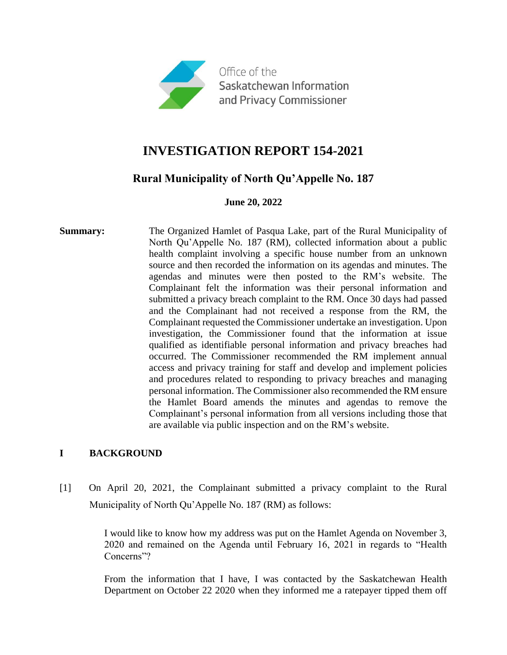

# **INVESTIGATION REPORT 154-2021**

## **Rural Municipality of North Qu'Appelle No. 187**

#### **June 20, 2022**

**Summary:** The Organized Hamlet of Pasqua Lake, part of the Rural Municipality of North Qu'Appelle No. 187 (RM), collected information about a public health complaint involving a specific house number from an unknown source and then recorded the information on its agendas and minutes. The agendas and minutes were then posted to the RM's website. The Complainant felt the information was their personal information and submitted a privacy breach complaint to the RM. Once 30 days had passed and the Complainant had not received a response from the RM, the Complainant requested the Commissioner undertake an investigation. Upon investigation, the Commissioner found that the information at issue qualified as identifiable personal information and privacy breaches had occurred. The Commissioner recommended the RM implement annual access and privacy training for staff and develop and implement policies and procedures related to responding to privacy breaches and managing personal information. The Commissioner also recommended the RM ensure the Hamlet Board amends the minutes and agendas to remove the Complainant's personal information from all versions including those that are available via public inspection and on the RM's website.

### **I BACKGROUND**

[1] On April 20, 2021, the Complainant submitted a privacy complaint to the Rural Municipality of North Qu'Appelle No. 187 (RM) as follows:

> I would like to know how my address was put on the Hamlet Agenda on November 3, 2020 and remained on the Agenda until February 16, 2021 in regards to "Health Concerns"?

> From the information that I have, I was contacted by the Saskatchewan Health Department on October 22 2020 when they informed me a ratepayer tipped them off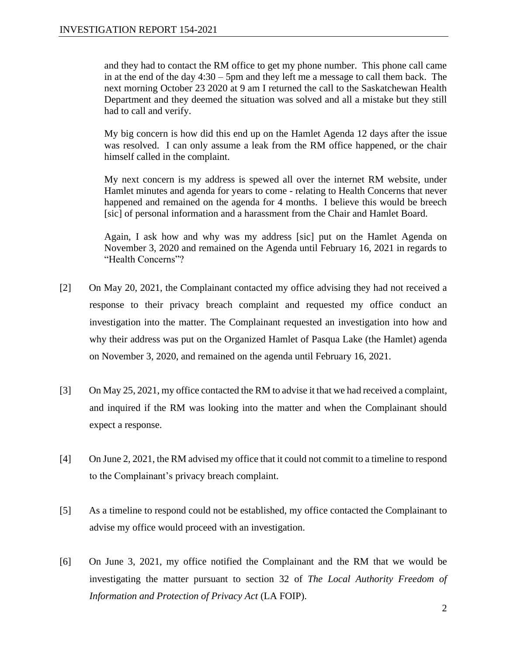and they had to contact the RM office to get my phone number. This phone call came in at the end of the day 4:30 – 5pm and they left me a message to call them back. The next morning October 23 2020 at 9 am I returned the call to the Saskatchewan Health Department and they deemed the situation was solved and all a mistake but they still had to call and verify.

My big concern is how did this end up on the Hamlet Agenda 12 days after the issue was resolved. I can only assume a leak from the RM office happened, or the chair himself called in the complaint.

My next concern is my address is spewed all over the internet RM website, under Hamlet minutes and agenda for years to come - relating to Health Concerns that never happened and remained on the agenda for 4 months. I believe this would be breech [sic] of personal information and a harassment from the Chair and Hamlet Board.

Again, I ask how and why was my address [sic] put on the Hamlet Agenda on November 3, 2020 and remained on the Agenda until February 16, 2021 in regards to "Health Concerns"?

- [2] On May 20, 2021, the Complainant contacted my office advising they had not received a response to their privacy breach complaint and requested my office conduct an investigation into the matter. The Complainant requested an investigation into how and why their address was put on the Organized Hamlet of Pasqua Lake (the Hamlet) agenda on November 3, 2020, and remained on the agenda until February 16, 2021.
- [3] On May 25, 2021, my office contacted the RM to advise it that we had received a complaint, and inquired if the RM was looking into the matter and when the Complainant should expect a response.
- [4] On June 2, 2021, the RM advised my office that it could not commit to a timeline to respond to the Complainant's privacy breach complaint.
- [5] As a timeline to respond could not be established, my office contacted the Complainant to advise my office would proceed with an investigation.
- [6] On June 3, 2021, my office notified the Complainant and the RM that we would be investigating the matter pursuant to section 32 of *The Local Authority Freedom of Information and Protection of Privacy Act* (LA FOIP).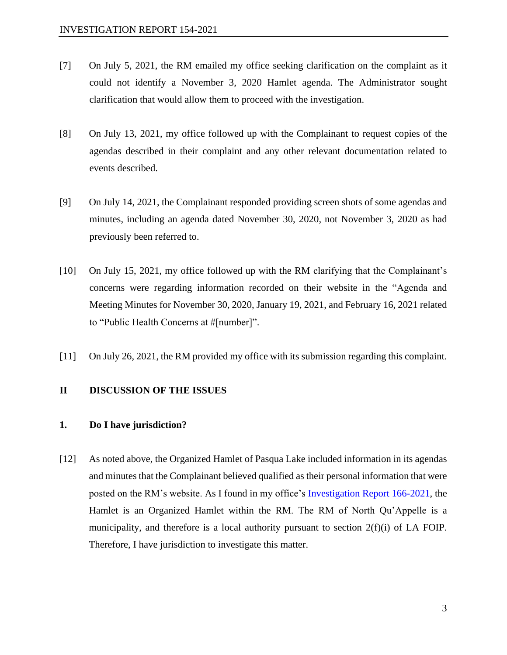- [7] On July 5, 2021, the RM emailed my office seeking clarification on the complaint as it could not identify a November 3, 2020 Hamlet agenda. The Administrator sought clarification that would allow them to proceed with the investigation.
- [8] On July 13, 2021, my office followed up with the Complainant to request copies of the agendas described in their complaint and any other relevant documentation related to events described.
- [9] On July 14, 2021, the Complainant responded providing screen shots of some agendas and minutes, including an agenda dated November 30, 2020, not November 3, 2020 as had previously been referred to.
- [10] On July 15, 2021, my office followed up with the RM clarifying that the Complainant's concerns were regarding information recorded on their website in the "Agenda and Meeting Minutes for November 30, 2020, January 19, 2021, and February 16, 2021 related to "Public Health Concerns at #[number]".
- [11] On July 26, 2021, the RM provided my office with its submission regarding this complaint.

#### **II DISCUSSION OF THE ISSUES**

#### **1. Do I have jurisdiction?**

[12] As noted above, the Organized Hamlet of Pasqua Lake included information in its agendas and minutes that the Complainant believed qualified as their personal information that were posted on the RM's website. As I found in my office's [Investigation Report 166-2021,](https://oipc.sk.ca/assets/la-foip-investigation_166-2021.pdf) the Hamlet is an Organized Hamlet within the RM. The RM of North Qu'Appelle is a municipality, and therefore is a local authority pursuant to section 2(f)(i) of LA FOIP. Therefore, I have jurisdiction to investigate this matter.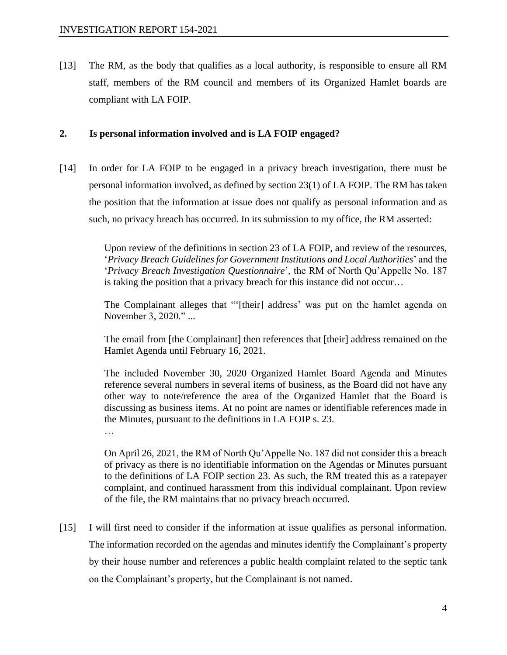[13] The RM, as the body that qualifies as a local authority, is responsible to ensure all RM staff, members of the RM council and members of its Organized Hamlet boards are compliant with LA FOIP.

#### **2. Is personal information involved and is LA FOIP engaged?**

[14] In order for LA FOIP to be engaged in a privacy breach investigation, there must be personal information involved, as defined by section 23(1) of LA FOIP. The RM has taken the position that the information at issue does not qualify as personal information and as such, no privacy breach has occurred. In its submission to my office, the RM asserted:

> Upon review of the definitions in section 23 of LA FOIP, and review of the resources, '*Privacy Breach Guidelines for Government Institutions and Local Authorities*' and the '*Privacy Breach Investigation Questionnaire*', the RM of North Qu'Appelle No. 187 is taking the position that a privacy breach for this instance did not occur…

> The Complainant alleges that "'[their] address' was put on the hamlet agenda on November 3, 2020." ...

> The email from [the Complainant] then references that [their] address remained on the Hamlet Agenda until February 16, 2021.

> The included November 30, 2020 Organized Hamlet Board Agenda and Minutes reference several numbers in several items of business, as the Board did not have any other way to note/reference the area of the Organized Hamlet that the Board is discussing as business items. At no point are names or identifiable references made in the Minutes, pursuant to the definitions in LA FOIP s. 23.

…

On April 26, 2021, the RM of North Qu'Appelle No. 187 did not consider this a breach of privacy as there is no identifiable information on the Agendas or Minutes pursuant to the definitions of LA FOIP section 23. As such, the RM treated this as a ratepayer complaint, and continued harassment from this individual complainant. Upon review of the file, the RM maintains that no privacy breach occurred.

[15] I will first need to consider if the information at issue qualifies as personal information. The information recorded on the agendas and minutes identify the Complainant's property by their house number and references a public health complaint related to the septic tank on the Complainant's property, but the Complainant is not named.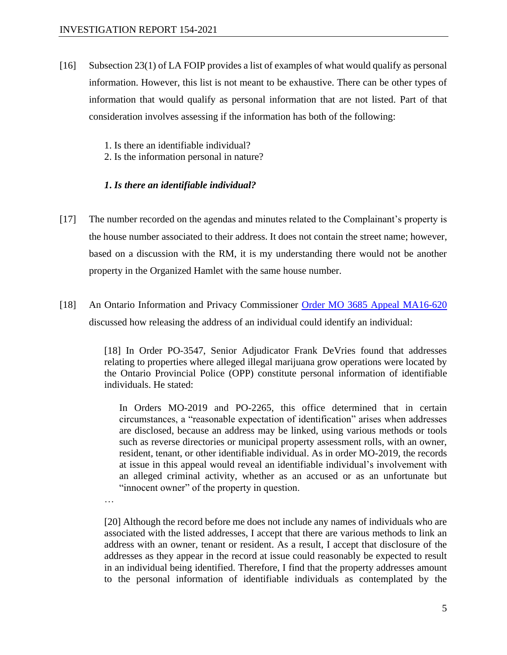- [16] Subsection 23(1) of LA FOIP provides a list of examples of what would qualify as personal information. However, this list is not meant to be exhaustive. There can be other types of information that would qualify as personal information that are not listed. Part of that consideration involves assessing if the information has both of the following:
	- 1. Is there an identifiable individual?
	- 2. Is the information personal in nature?

#### *1***.** *Is there an identifiable individual?*

- [17] The number recorded on the agendas and minutes related to the Complainant's property is the house number associated to their address. It does not contain the street name; however, based on a discussion with the RM, it is my understanding there would not be another property in the Organized Hamlet with the same house number.
- [18] An Ontario Information and Privacy Commissioner [Order MO 3685 Appeal MA16-620](https://decisions.ipc.on.ca/ipc-cipvp/orders/en/363006/1/document.do) discussed how releasing the address of an individual could identify an individual:

[18] In Order PO-3547, Senior Adjudicator Frank DeVries found that addresses relating to properties where alleged illegal marijuana grow operations were located by the Ontario Provincial Police (OPP) constitute personal information of identifiable individuals. He stated:

In Orders MO-2019 and PO-2265, this office determined that in certain circumstances, a "reasonable expectation of identification" arises when addresses are disclosed, because an address may be linked, using various methods or tools such as reverse directories or municipal property assessment rolls, with an owner, resident, tenant, or other identifiable individual. As in order MO-2019, the records at issue in this appeal would reveal an identifiable individual's involvement with an alleged criminal activity, whether as an accused or as an unfortunate but "innocent owner" of the property in question.

…

[20] Although the record before me does not include any names of individuals who are associated with the listed addresses, I accept that there are various methods to link an address with an owner, tenant or resident. As a result, I accept that disclosure of the addresses as they appear in the record at issue could reasonably be expected to result in an individual being identified. Therefore, I find that the property addresses amount to the personal information of identifiable individuals as contemplated by the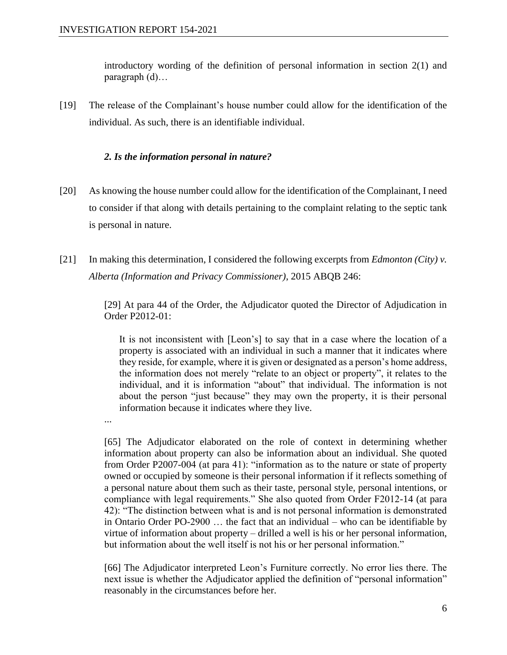introductory wording of the definition of personal information in section 2(1) and paragraph (d)…

[19] The release of the Complainant's house number could allow for the identification of the individual. As such, there is an identifiable individual.

#### *2. Is the information personal in nature?*

- [20] As knowing the house number could allow for the identification of the Complainant, I need to consider if that along with details pertaining to the complaint relating to the septic tank is personal in nature.
- [21] In making this determination, I considered the following excerpts from *Edmonton (City) v. Alberta (Information and Privacy Commissioner)*, 2015 ABQB 246:

[29] At para 44 of the Order, the Adjudicator quoted the Director of Adjudication in Order P2012-01:

It is not inconsistent with [Leon's] to say that in a case where the location of a property is associated with an individual in such a manner that it indicates where they reside, for example, where it is given or designated as a person's home address, the information does not merely "relate to an object or property", it relates to the individual, and it is information "about" that individual. The information is not about the person "just because" they may own the property, it is their personal information because it indicates where they live.

...

[65] The Adjudicator elaborated on the role of context in determining whether information about property can also be information about an individual. She quoted from Order P2007-004 (at para 41): "information as to the nature or state of property owned or occupied by someone is their personal information if it reflects something of a personal nature about them such as their taste, personal style, personal intentions, or compliance with legal requirements." She also quoted from Order F2012-14 (at para 42): "The distinction between what is and is not personal information is demonstrated in Ontario Order PO-2900 … the fact that an individual – who can be identifiable by virtue of information about property – drilled a well is his or her personal information, but information about the well itself is not his or her personal information."

[66] The Adjudicator interpreted Leon's Furniture correctly. No error lies there. The next issue is whether the Adjudicator applied the definition of "personal information" reasonably in the circumstances before her.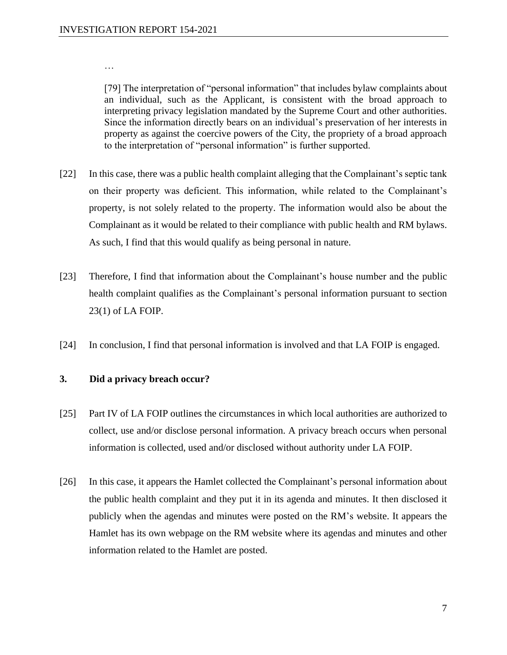…

[79] The interpretation of "personal information" that includes bylaw complaints about an individual, such as the Applicant, is consistent with the broad approach to interpreting privacy legislation mandated by the Supreme Court and other authorities. Since the information directly bears on an individual's preservation of her interests in property as against the coercive powers of the City, the propriety of a broad approach to the interpretation of "personal information" is further supported.

- [22] In this case, there was a public health complaint alleging that the Complainant's septic tank on their property was deficient. This information, while related to the Complainant's property, is not solely related to the property. The information would also be about the Complainant as it would be related to their compliance with public health and RM bylaws. As such, I find that this would qualify as being personal in nature.
- [23] Therefore, I find that information about the Complainant's house number and the public health complaint qualifies as the Complainant's personal information pursuant to section 23(1) of LA FOIP.
- [24] In conclusion, I find that personal information is involved and that LA FOIP is engaged.

#### **3. Did a privacy breach occur?**

- [25] Part IV of LA FOIP outlines the circumstances in which local authorities are authorized to collect, use and/or disclose personal information. A privacy breach occurs when personal information is collected, used and/or disclosed without authority under LA FOIP.
- [26] In this case, it appears the Hamlet collected the Complainant's personal information about the public health complaint and they put it in its agenda and minutes. It then disclosed it publicly when the agendas and minutes were posted on the RM's website. It appears the Hamlet has its own webpage on the RM website where its agendas and minutes and other information related to the Hamlet are posted.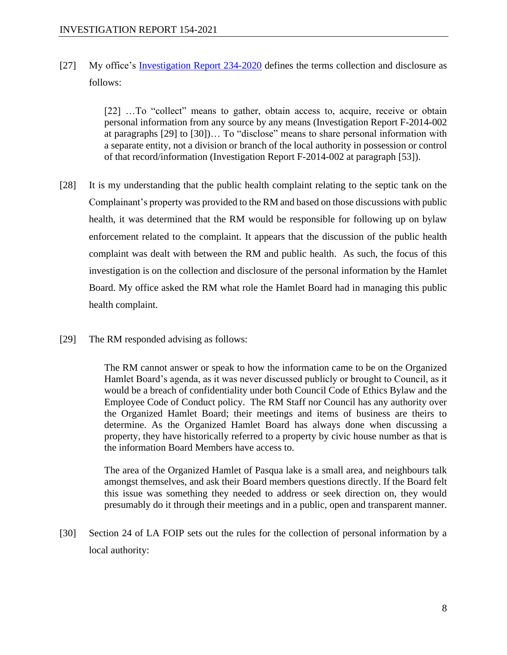[27] My office's [Investigation Report 234-2020](https://oipc.sk.ca/assets/la-foip-investigation_234-2020.pdf) defines the terms collection and disclosure as follows:

> [22] …To "collect" means to gather, obtain access to, acquire, receive or obtain personal information from any source by any means (Investigation Report F-2014-002 at paragraphs [29] to [30])… To "disclose" means to share personal information with a separate entity, not a division or branch of the local authority in possession or control of that record/information (Investigation Report F-2014-002 at paragraph [53]).

- [28] It is my understanding that the public health complaint relating to the septic tank on the Complainant's property was provided to the RM and based on those discussions with public health, it was determined that the RM would be responsible for following up on bylaw enforcement related to the complaint. It appears that the discussion of the public health complaint was dealt with between the RM and public health. As such, the focus of this investigation is on the collection and disclosure of the personal information by the Hamlet Board. My office asked the RM what role the Hamlet Board had in managing this public health complaint.
- [29] The RM responded advising as follows:

The RM cannot answer or speak to how the information came to be on the Organized Hamlet Board's agenda, as it was never discussed publicly or brought to Council, as it would be a breach of confidentiality under both Council Code of Ethics Bylaw and the Employee Code of Conduct policy. The RM Staff nor Council has any authority over the Organized Hamlet Board; their meetings and items of business are theirs to determine. As the Organized Hamlet Board has always done when discussing a property, they have historically referred to a property by civic house number as that is the information Board Members have access to.

The area of the Organized Hamlet of Pasqua lake is a small area, and neighbours talk amongst themselves, and ask their Board members questions directly. If the Board felt this issue was something they needed to address or seek direction on, they would presumably do it through their meetings and in a public, open and transparent manner.

[30] Section 24 of LA FOIP sets out the rules for the collection of personal information by a local authority: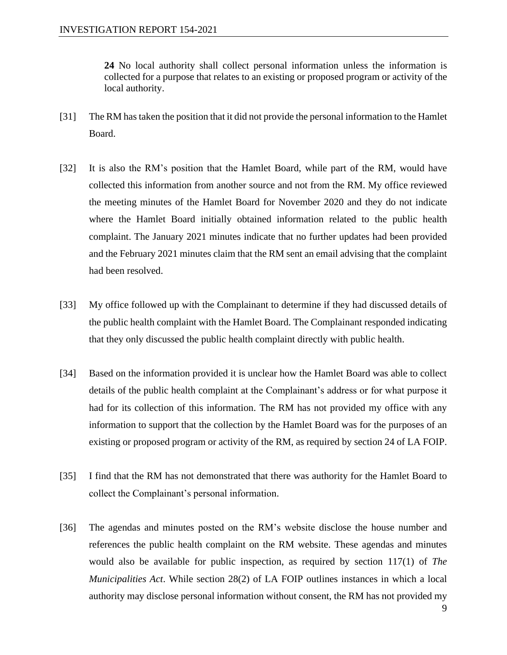**24** No local authority shall collect personal information unless the information is collected for a purpose that relates to an existing or proposed program or activity of the local authority.

- [31] The RM has taken the position that it did not provide the personal information to the Hamlet Board.
- [32] It is also the RM's position that the Hamlet Board, while part of the RM, would have collected this information from another source and not from the RM. My office reviewed the meeting minutes of the Hamlet Board for November 2020 and they do not indicate where the Hamlet Board initially obtained information related to the public health complaint. The January 2021 minutes indicate that no further updates had been provided and the February 2021 minutes claim that the RM sent an email advising that the complaint had been resolved.
- [33] My office followed up with the Complainant to determine if they had discussed details of the public health complaint with the Hamlet Board. The Complainant responded indicating that they only discussed the public health complaint directly with public health.
- [34] Based on the information provided it is unclear how the Hamlet Board was able to collect details of the public health complaint at the Complainant's address or for what purpose it had for its collection of this information. The RM has not provided my office with any information to support that the collection by the Hamlet Board was for the purposes of an existing or proposed program or activity of the RM, as required by section 24 of LA FOIP.
- [35] I find that the RM has not demonstrated that there was authority for the Hamlet Board to collect the Complainant's personal information.
- [36] The agendas and minutes posted on the RM's website disclose the house number and references the public health complaint on the RM website. These agendas and minutes would also be available for public inspection, as required by section 117(1) of *The Municipalities Act*. While section 28(2) of LA FOIP outlines instances in which a local authority may disclose personal information without consent, the RM has not provided my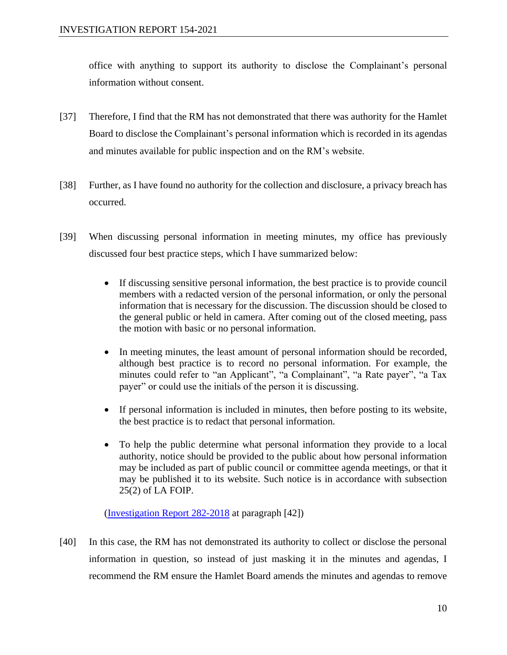office with anything to support its authority to disclose the Complainant's personal information without consent.

- [37] Therefore, I find that the RM has not demonstrated that there was authority for the Hamlet Board to disclose the Complainant's personal information which is recorded in its agendas and minutes available for public inspection and on the RM's website.
- [38] Further, as I have found no authority for the collection and disclosure, a privacy breach has occurred.
- [39] When discussing personal information in meeting minutes, my office has previously discussed four best practice steps, which I have summarized below:
	- If discussing sensitive personal information, the best practice is to provide council members with a redacted version of the personal information, or only the personal information that is necessary for the discussion. The discussion should be closed to the general public or held in camera. After coming out of the closed meeting, pass the motion with basic or no personal information.
	- In meeting minutes, the least amount of personal information should be recorded, although best practice is to record no personal information. For example, the minutes could refer to "an Applicant", "a Complainant", "a Rate payer", "a Tax payer" or could use the initials of the person it is discussing.
	- If personal information is included in minutes, then before posting to its website, the best practice is to redact that personal information.
	- To help the public determine what personal information they provide to a local authority, notice should be provided to the public about how personal information may be included as part of public council or committee agenda meetings, or that it may be published it to its website. Such notice is in accordance with subsection 25(2) of LA FOIP.

[\(Investigation Report 282-2018](https://oipc.sk.ca/assets/lafoip-investigation-282-2018.pdf) at paragraph [42])

[40] In this case, the RM has not demonstrated its authority to collect or disclose the personal information in question, so instead of just masking it in the minutes and agendas, I recommend the RM ensure the Hamlet Board amends the minutes and agendas to remove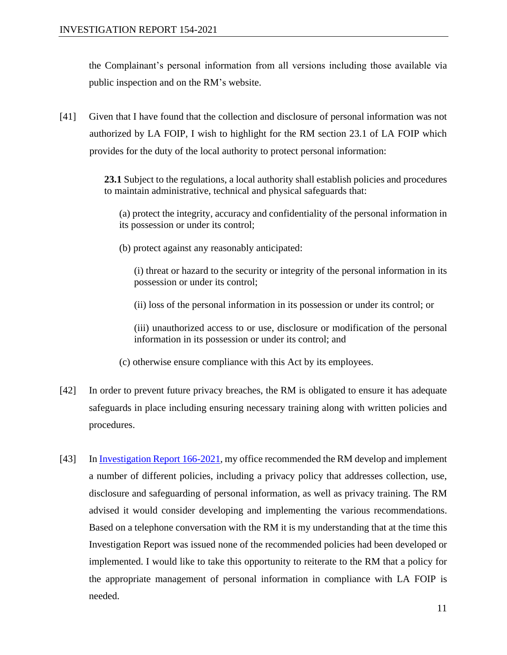the Complainant's personal information from all versions including those available via public inspection and on the RM's website.

[41] Given that I have found that the collection and disclosure of personal information was not authorized by LA FOIP, I wish to highlight for the RM section 23.1 of LA FOIP which provides for the duty of the local authority to protect personal information:

> **23.1** Subject to the regulations, a local authority shall establish policies and procedures to maintain administrative, technical and physical safeguards that:

(a) protect the integrity, accuracy and confidentiality of the personal information in its possession or under its control;

(b) protect against any reasonably anticipated:

(i) threat or hazard to the security or integrity of the personal information in its possession or under its control;

(ii) loss of the personal information in its possession or under its control; or

(iii) unauthorized access to or use, disclosure or modification of the personal information in its possession or under its control; and

- (c) otherwise ensure compliance with this Act by its employees.
- [42] In order to prevent future privacy breaches, the RM is obligated to ensure it has adequate safeguards in place including ensuring necessary training along with written policies and procedures.
- [43] In [Investigation Report 166-2021,](https://oipc.sk.ca/assets/la-foip-investigation_166-2021.pdf) my office recommended the RM develop and implement a number of different policies, including a privacy policy that addresses collection, use, disclosure and safeguarding of personal information, as well as privacy training. The RM advised it would consider developing and implementing the various recommendations. Based on a telephone conversation with the RM it is my understanding that at the time this Investigation Report was issued none of the recommended policies had been developed or implemented. I would like to take this opportunity to reiterate to the RM that a policy for the appropriate management of personal information in compliance with LA FOIP is needed.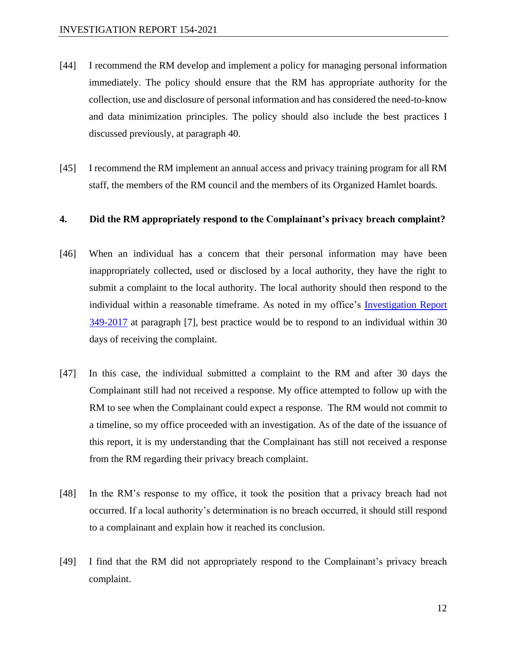- [44] I recommend the RM develop and implement a policy for managing personal information immediately. The policy should ensure that the RM has appropriate authority for the collection, use and disclosure of personal information and has considered the need-to-know and data minimization principles. The policy should also include the best practices I discussed previously, at paragraph 40.
- [45] I recommend the RM implement an annual access and privacy training program for all RM staff, the members of the RM council and the members of its Organized Hamlet boards.

#### **4. Did the RM appropriately respond to the Complainant's privacy breach complaint?**

- [46] When an individual has a concern that their personal information may have been inappropriately collected, used or disclosed by a local authority, they have the right to submit a complaint to the local authority. The local authority should then respond to the individual within a reasonable timeframe. As noted in my office's [Investigation Report](https://oipc.sk.ca/assets/lafoip-investigation-349-2017.pdf)  [349-2017](https://oipc.sk.ca/assets/lafoip-investigation-349-2017.pdf) at paragraph [7], best practice would be to respond to an individual within 30 days of receiving the complaint.
- [47] In this case, the individual submitted a complaint to the RM and after 30 days the Complainant still had not received a response. My office attempted to follow up with the RM to see when the Complainant could expect a response. The RM would not commit to a timeline, so my office proceeded with an investigation. As of the date of the issuance of this report, it is my understanding that the Complainant has still not received a response from the RM regarding their privacy breach complaint.
- [48] In the RM's response to my office, it took the position that a privacy breach had not occurred. If a local authority's determination is no breach occurred, it should still respond to a complainant and explain how it reached its conclusion.
- [49] I find that the RM did not appropriately respond to the Complainant's privacy breach complaint.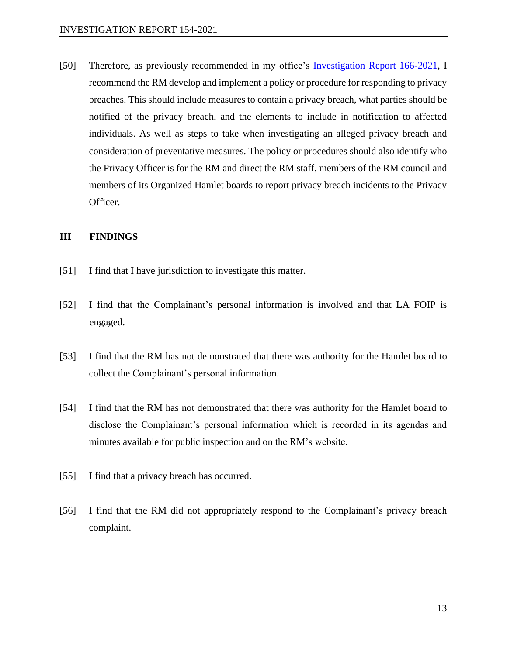[50] Therefore, as previously recommended in my office's [Investigation Report 166-2021,](https://oipc.sk.ca/assets/la-foip-investigation_166-2021.pdf) I recommend the RM develop and implement a policy or procedure for responding to privacy breaches. This should include measures to contain a privacy breach, what parties should be notified of the privacy breach, and the elements to include in notification to affected individuals. As well as steps to take when investigating an alleged privacy breach and consideration of preventative measures. The policy or procedures should also identify who the Privacy Officer is for the RM and direct the RM staff, members of the RM council and members of its Organized Hamlet boards to report privacy breach incidents to the Privacy Officer.

#### **III FINDINGS**

- [51] I find that I have jurisdiction to investigate this matter.
- [52] I find that the Complainant's personal information is involved and that LA FOIP is engaged.
- [53] I find that the RM has not demonstrated that there was authority for the Hamlet board to collect the Complainant's personal information.
- [54] I find that the RM has not demonstrated that there was authority for the Hamlet board to disclose the Complainant's personal information which is recorded in its agendas and minutes available for public inspection and on the RM's website.
- [55] I find that a privacy breach has occurred.
- [56] I find that the RM did not appropriately respond to the Complainant's privacy breach complaint.